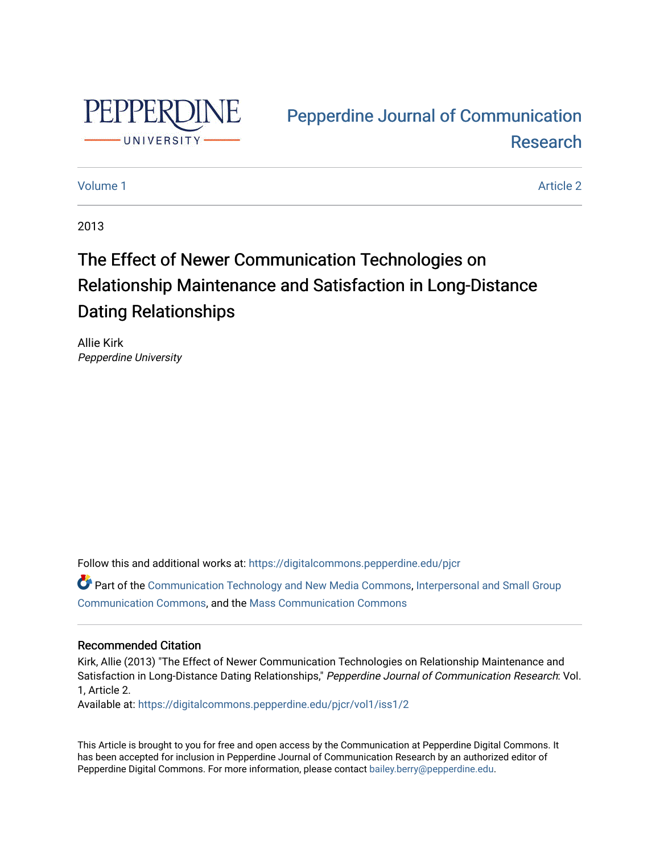

# [Pepperdine Journal of Communication](https://digitalcommons.pepperdine.edu/pjcr)  [Research](https://digitalcommons.pepperdine.edu/pjcr)

# [Volume 1](https://digitalcommons.pepperdine.edu/pjcr/vol1) Article 2

2013

# The Effect of Newer Communication Technologies on Relationship Maintenance and Satisfaction in Long-Distance Dating Relationships

Allie Kirk Pepperdine University

Follow this and additional works at: [https://digitalcommons.pepperdine.edu/pjcr](https://digitalcommons.pepperdine.edu/pjcr?utm_source=digitalcommons.pepperdine.edu%2Fpjcr%2Fvol1%2Fiss1%2F2&utm_medium=PDF&utm_campaign=PDFCoverPages)

Part of the [Communication Technology and New Media Commons,](http://network.bepress.com/hgg/discipline/327?utm_source=digitalcommons.pepperdine.edu%2Fpjcr%2Fvol1%2Fiss1%2F2&utm_medium=PDF&utm_campaign=PDFCoverPages) Interpersonal and Small Group [Communication Commons](http://network.bepress.com/hgg/discipline/332?utm_source=digitalcommons.pepperdine.edu%2Fpjcr%2Fvol1%2Fiss1%2F2&utm_medium=PDF&utm_campaign=PDFCoverPages), and the [Mass Communication Commons](http://network.bepress.com/hgg/discipline/334?utm_source=digitalcommons.pepperdine.edu%2Fpjcr%2Fvol1%2Fiss1%2F2&utm_medium=PDF&utm_campaign=PDFCoverPages) 

# Recommended Citation

Kirk, Allie (2013) "The Effect of Newer Communication Technologies on Relationship Maintenance and Satisfaction in Long-Distance Dating Relationships," Pepperdine Journal of Communication Research: Vol. 1, Article 2.

Available at: [https://digitalcommons.pepperdine.edu/pjcr/vol1/iss1/2](https://digitalcommons.pepperdine.edu/pjcr/vol1/iss1/2?utm_source=digitalcommons.pepperdine.edu%2Fpjcr%2Fvol1%2Fiss1%2F2&utm_medium=PDF&utm_campaign=PDFCoverPages) 

This Article is brought to you for free and open access by the Communication at Pepperdine Digital Commons. It has been accepted for inclusion in Pepperdine Journal of Communication Research by an authorized editor of Pepperdine Digital Commons. For more information, please contact [bailey.berry@pepperdine.edu](mailto:bailey.berry@pepperdine.edu).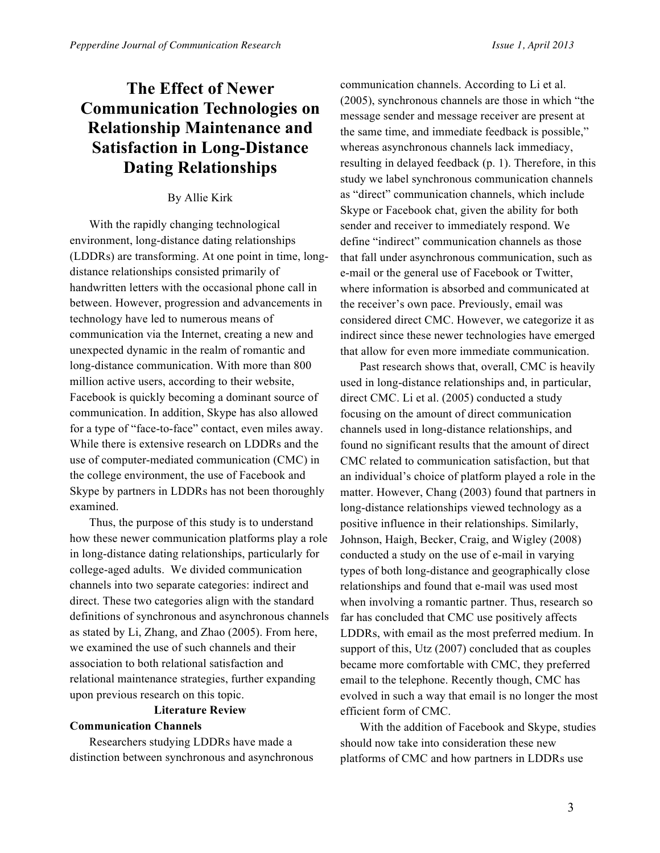# **The Effect of Newer Communication Technologies on Relationship Maintenance and Satisfaction in Long-Distance Dating Relationships**

### By Allie Kirk

With the rapidly changing technological environment, long-distance dating relationships (LDDRs) are transforming. At one point in time, longdistance relationships consisted primarily of handwritten letters with the occasional phone call in between. However, progression and advancements in technology have led to numerous means of communication via the Internet, creating a new and unexpected dynamic in the realm of romantic and long-distance communication. With more than 800 million active users, according to their website, Facebook is quickly becoming a dominant source of communication. In addition, Skype has also allowed for a type of "face-to-face" contact, even miles away. While there is extensive research on LDDRs and the use of computer-mediated communication (CMC) in the college environment, the use of Facebook and Skype by partners in LDDRs has not been thoroughly examined.

Thus, the purpose of this study is to understand how these newer communication platforms play a role in long-distance dating relationships, particularly for college-aged adults. We divided communication channels into two separate categories: indirect and direct. These two categories align with the standard definitions of synchronous and asynchronous channels as stated by Li, Zhang, and Zhao (2005). From here, we examined the use of such channels and their association to both relational satisfaction and relational maintenance strategies, further expanding upon previous research on this topic.

# **Literature Review Communication Channels**

Researchers studying LDDRs have made a distinction between synchronous and asynchronous communication channels. According to Li et al. (2005), synchronous channels are those in which "the message sender and message receiver are present at the same time, and immediate feedback is possible," whereas asynchronous channels lack immediacy, resulting in delayed feedback (p. 1). Therefore, in this study we label synchronous communication channels as "direct" communication channels, which include Skype or Facebook chat, given the ability for both sender and receiver to immediately respond. We define "indirect" communication channels as those that fall under asynchronous communication, such as e-mail or the general use of Facebook or Twitter, where information is absorbed and communicated at the receiver's own pace. Previously, email was considered direct CMC. However, we categorize it as indirect since these newer technologies have emerged that allow for even more immediate communication.

Past research shows that, overall, CMC is heavily used in long-distance relationships and, in particular, direct CMC. Li et al. (2005) conducted a study focusing on the amount of direct communication channels used in long-distance relationships, and found no significant results that the amount of direct CMC related to communication satisfaction, but that an individual's choice of platform played a role in the matter. However, Chang (2003) found that partners in long-distance relationships viewed technology as a positive influence in their relationships. Similarly, Johnson, Haigh, Becker, Craig, and Wigley (2008) conducted a study on the use of e-mail in varying types of both long-distance and geographically close relationships and found that e-mail was used most when involving a romantic partner. Thus, research so far has concluded that CMC use positively affects LDDRs, with email as the most preferred medium. In support of this, Utz (2007) concluded that as couples became more comfortable with CMC, they preferred email to the telephone. Recently though, CMC has evolved in such a way that email is no longer the most efficient form of CMC.

With the addition of Facebook and Skype, studies should now take into consideration these new platforms of CMC and how partners in LDDRs use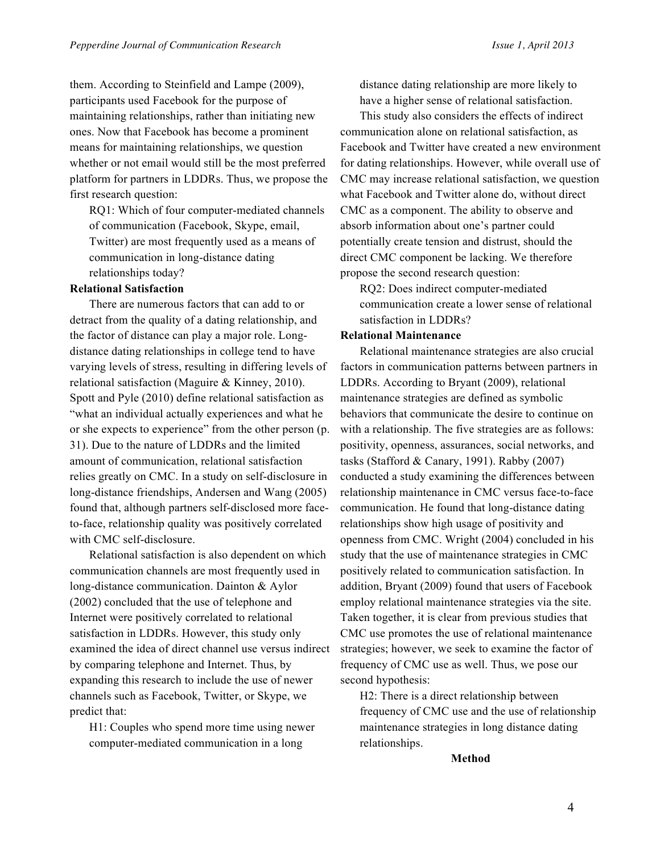them. According to Steinfield and Lampe (2009), participants used Facebook for the purpose of maintaining relationships, rather than initiating new ones. Now that Facebook has become a prominent means for maintaining relationships, we question whether or not email would still be the most preferred platform for partners in LDDRs. Thus, we propose the first research question:

RQ1: Which of four computer-mediated channels of communication (Facebook, Skype, email, Twitter) are most frequently used as a means of communication in long-distance dating relationships today?

#### **Relational Satisfaction**

There are numerous factors that can add to or detract from the quality of a dating relationship, and the factor of distance can play a major role. Longdistance dating relationships in college tend to have varying levels of stress, resulting in differing levels of relational satisfaction (Maguire & Kinney, 2010). Spott and Pyle (2010) define relational satisfaction as "what an individual actually experiences and what he or she expects to experience" from the other person (p. 31). Due to the nature of LDDRs and the limited amount of communication, relational satisfaction relies greatly on CMC. In a study on self-disclosure in long-distance friendships, Andersen and Wang (2005) found that, although partners self-disclosed more faceto-face, relationship quality was positively correlated with CMC self-disclosure.

Relational satisfaction is also dependent on which communication channels are most frequently used in long-distance communication. Dainton & Aylor (2002) concluded that the use of telephone and Internet were positively correlated to relational satisfaction in LDDRs. However, this study only examined the idea of direct channel use versus indirect by comparing telephone and Internet. Thus, by expanding this research to include the use of newer channels such as Facebook, Twitter, or Skype, we predict that:

H1: Couples who spend more time using newer computer-mediated communication in a long

distance dating relationship are more likely to have a higher sense of relational satisfaction.

This study also considers the effects of indirect communication alone on relational satisfaction, as Facebook and Twitter have created a new environment for dating relationships. However, while overall use of CMC may increase relational satisfaction, we question what Facebook and Twitter alone do, without direct CMC as a component. The ability to observe and absorb information about one's partner could potentially create tension and distrust, should the direct CMC component be lacking. We therefore propose the second research question:

RQ2: Does indirect computer-mediated communication create a lower sense of relational satisfaction in LDDRs?

#### **Relational Maintenance**

Relational maintenance strategies are also crucial factors in communication patterns between partners in LDDRs. According to Bryant (2009), relational maintenance strategies are defined as symbolic behaviors that communicate the desire to continue on with a relationship. The five strategies are as follows: positivity, openness, assurances, social networks, and tasks (Stafford & Canary, 1991). Rabby (2007) conducted a study examining the differences between relationship maintenance in CMC versus face-to-face communication. He found that long-distance dating relationships show high usage of positivity and openness from CMC. Wright (2004) concluded in his study that the use of maintenance strategies in CMC positively related to communication satisfaction. In addition, Bryant (2009) found that users of Facebook employ relational maintenance strategies via the site. Taken together, it is clear from previous studies that CMC use promotes the use of relational maintenance strategies; however, we seek to examine the factor of frequency of CMC use as well. Thus, we pose our second hypothesis:

H2: There is a direct relationship between frequency of CMC use and the use of relationship maintenance strategies in long distance dating relationships.

#### **Method**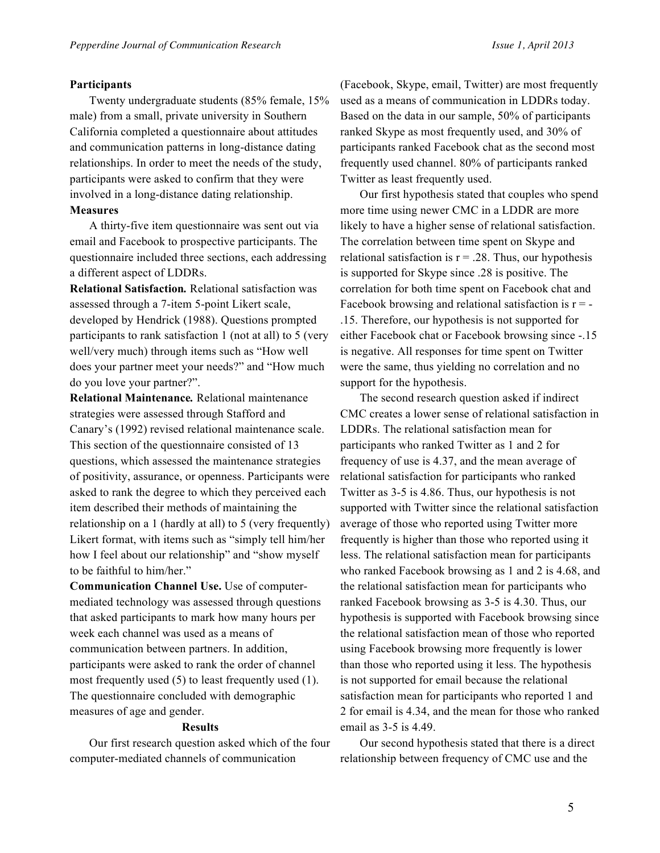#### **Participants**

Twenty undergraduate students (85% female, 15% male) from a small, private university in Southern California completed a questionnaire about attitudes and communication patterns in long-distance dating relationships. In order to meet the needs of the study, participants were asked to confirm that they were involved in a long-distance dating relationship.

#### **Measures**

A thirty-five item questionnaire was sent out via email and Facebook to prospective participants. The questionnaire included three sections, each addressing a different aspect of LDDRs.

**Relational Satisfaction***.* Relational satisfaction was assessed through a 7-item 5-point Likert scale, developed by Hendrick (1988). Questions prompted participants to rank satisfaction 1 (not at all) to 5 (very well/very much) through items such as "How well does your partner meet your needs?" and "How much do you love your partner?".

**Relational Maintenance***.* Relational maintenance strategies were assessed through Stafford and Canary's (1992) revised relational maintenance scale. This section of the questionnaire consisted of 13 questions, which assessed the maintenance strategies of positivity, assurance, or openness. Participants were asked to rank the degree to which they perceived each item described their methods of maintaining the relationship on a 1 (hardly at all) to 5 (very frequently) Likert format, with items such as "simply tell him/her how I feel about our relationship" and "show myself to be faithful to him/her."

**Communication Channel Use.** Use of computermediated technology was assessed through questions that asked participants to mark how many hours per week each channel was used as a means of communication between partners. In addition, participants were asked to rank the order of channel most frequently used (5) to least frequently used (1). The questionnaire concluded with demographic measures of age and gender.

#### **Results**

Our first research question asked which of the four computer-mediated channels of communication

(Facebook, Skype, email, Twitter) are most frequently used as a means of communication in LDDRs today. Based on the data in our sample, 50% of participants ranked Skype as most frequently used, and 30% of participants ranked Facebook chat as the second most frequently used channel. 80% of participants ranked Twitter as least frequently used.

Our first hypothesis stated that couples who spend more time using newer CMC in a LDDR are more likely to have a higher sense of relational satisfaction. The correlation between time spent on Skype and relational satisfaction is  $r = .28$ . Thus, our hypothesis is supported for Skype since .28 is positive. The correlation for both time spent on Facebook chat and Facebook browsing and relational satisfaction is  $r = -$ .15. Therefore, our hypothesis is not supported for either Facebook chat or Facebook browsing since -.15 is negative. All responses for time spent on Twitter were the same, thus yielding no correlation and no support for the hypothesis.

The second research question asked if indirect CMC creates a lower sense of relational satisfaction in LDDRs. The relational satisfaction mean for participants who ranked Twitter as 1 and 2 for frequency of use is 4.37, and the mean average of relational satisfaction for participants who ranked Twitter as 3-5 is 4.86. Thus, our hypothesis is not supported with Twitter since the relational satisfaction average of those who reported using Twitter more frequently is higher than those who reported using it less. The relational satisfaction mean for participants who ranked Facebook browsing as 1 and 2 is 4.68, and the relational satisfaction mean for participants who ranked Facebook browsing as 3-5 is 4.30. Thus, our hypothesis is supported with Facebook browsing since the relational satisfaction mean of those who reported using Facebook browsing more frequently is lower than those who reported using it less. The hypothesis is not supported for email because the relational satisfaction mean for participants who reported 1 and 2 for email is 4.34, and the mean for those who ranked email as 3-5 is 4.49.

Our second hypothesis stated that there is a direct relationship between frequency of CMC use and the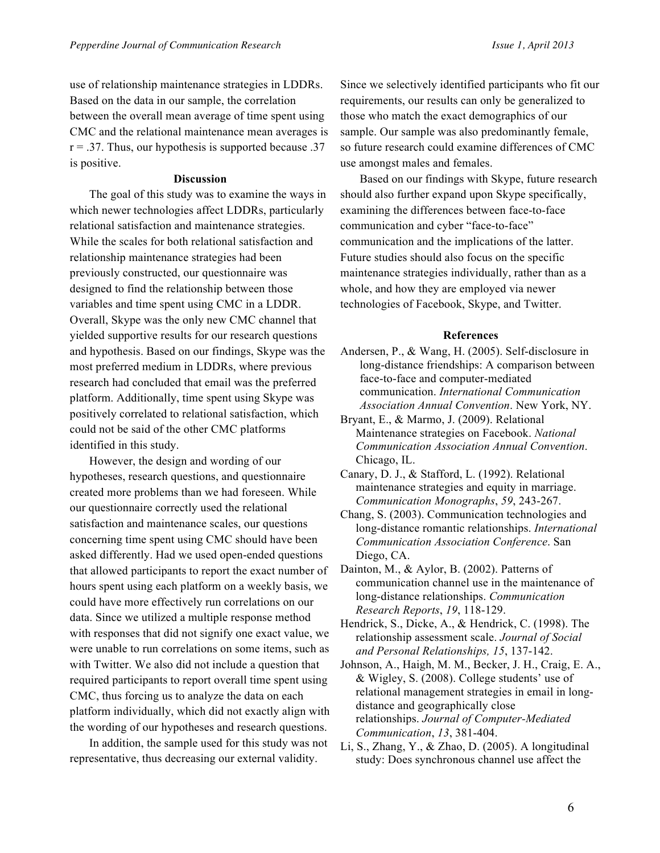use of relationship maintenance strategies in LDDRs. Based on the data in our sample, the correlation between the overall mean average of time spent using CMC and the relational maintenance mean averages is  $r = .37$ . Thus, our hypothesis is supported because  $.37$ is positive.

#### **Discussion**

The goal of this study was to examine the ways in which newer technologies affect LDDRs, particularly relational satisfaction and maintenance strategies. While the scales for both relational satisfaction and relationship maintenance strategies had been previously constructed, our questionnaire was designed to find the relationship between those variables and time spent using CMC in a LDDR. Overall, Skype was the only new CMC channel that yielded supportive results for our research questions and hypothesis. Based on our findings, Skype was the most preferred medium in LDDRs, where previous research had concluded that email was the preferred platform. Additionally, time spent using Skype was positively correlated to relational satisfaction, which could not be said of the other CMC platforms identified in this study.

However, the design and wording of our hypotheses, research questions, and questionnaire created more problems than we had foreseen. While our questionnaire correctly used the relational satisfaction and maintenance scales, our questions concerning time spent using CMC should have been asked differently. Had we used open-ended questions that allowed participants to report the exact number of hours spent using each platform on a weekly basis, we could have more effectively run correlations on our data. Since we utilized a multiple response method with responses that did not signify one exact value, we were unable to run correlations on some items, such as with Twitter. We also did not include a question that required participants to report overall time spent using CMC, thus forcing us to analyze the data on each platform individually, which did not exactly align with the wording of our hypotheses and research questions.

In addition, the sample used for this study was not representative, thus decreasing our external validity.

Since we selectively identified participants who fit our requirements, our results can only be generalized to those who match the exact demographics of our sample. Our sample was also predominantly female, so future research could examine differences of CMC use amongst males and females.

Based on our findings with Skype, future research should also further expand upon Skype specifically, examining the differences between face-to-face communication and cyber "face-to-face" communication and the implications of the latter. Future studies should also focus on the specific maintenance strategies individually, rather than as a whole, and how they are employed via newer technologies of Facebook, Skype, and Twitter.

### **References**

- Andersen, P., & Wang, H. (2005). Self-disclosure in long-distance friendships: A comparison between face-to-face and computer-mediated communication. *International Communication Association Annual Convention*. New York, NY.
- Bryant, E., & Marmo, J. (2009). Relational Maintenance strategies on Facebook. *National Communication Association Annual Convention*. Chicago, IL.
- Canary, D. J., & Stafford, L. (1992). Relational maintenance strategies and equity in marriage. *Communication Monographs*, *59*, 243-267.
- Chang, S. (2003). Communication technologies and long-distance romantic relationships. *International Communication Association Conference*. San Diego, CA.
- Dainton, M., & Aylor, B. (2002). Patterns of communication channel use in the maintenance of long-distance relationships. *Communication Research Reports*, *19*, 118-129.

Hendrick, S., Dicke, A., & Hendrick, C. (1998). The relationship assessment scale. *Journal of Social and Personal Relationships, 15*, 137-142.

- Johnson, A., Haigh, M. M., Becker, J. H., Craig, E. A., & Wigley, S. (2008). College students' use of relational management strategies in email in longdistance and geographically close relationships. *Journal of Computer-Mediated Communication*, *13*, 381-404.
- Li, S., Zhang, Y., & Zhao, D. (2005). A longitudinal study: Does synchronous channel use affect the